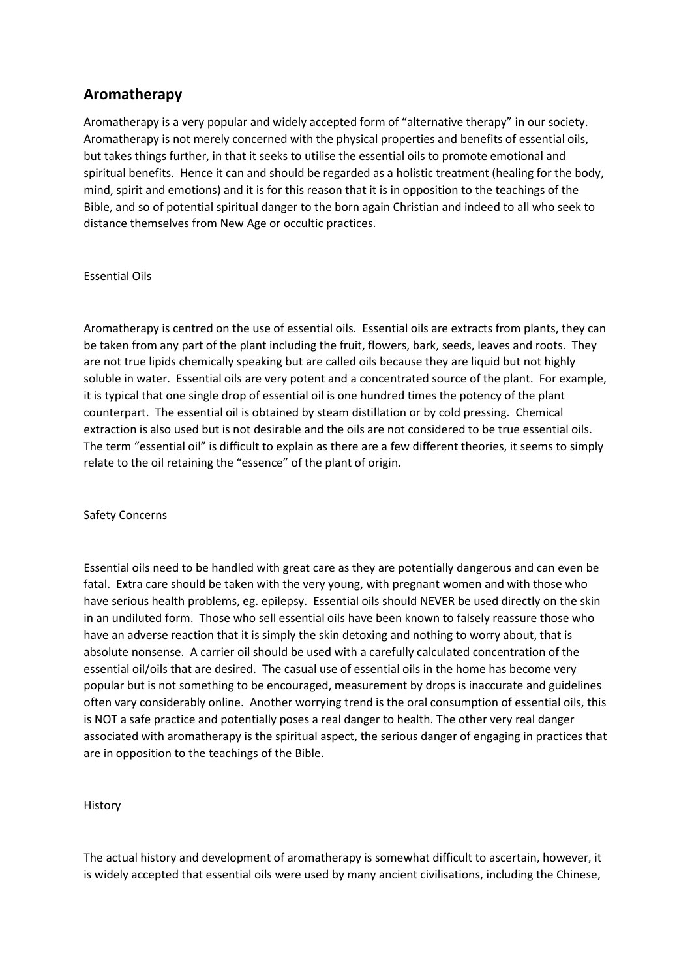# **Aromatherapy**

Aromatherapy is a very popular and widely accepted form of "alternative therapy" in our society. Aromatherapy is not merely concerned with the physical properties and benefits of essential oils, but takes things further, in that it seeks to utilise the essential oils to promote emotional and spiritual benefits. Hence it can and should be regarded as a holistic treatment (healing for the body, mind, spirit and emotions) and it is for this reason that it is in opposition to the teachings of the Bible, and so of potential spiritual danger to the born again Christian and indeed to all who seek to distance themselves from New Age or occultic practices.

## Essential Oils

Aromatherapy is centred on the use of essential oils. Essential oils are extracts from plants, they can be taken from any part of the plant including the fruit, flowers, bark, seeds, leaves and roots. They are not true lipids chemically speaking but are called oils because they are liquid but not highly soluble in water. Essential oils are very potent and a concentrated source of the plant. For example, it is typical that one single drop of essential oil is one hundred times the potency of the plant counterpart. The essential oil is obtained by steam distillation or by cold pressing. Chemical extraction is also used but is not desirable and the oils are not considered to be true essential oils. The term "essential oil" is difficult to explain as there are a few different theories, it seems to simply relate to the oil retaining the "essence" of the plant of origin.

### Safety Concerns

Essential oils need to be handled with great care as they are potentially dangerous and can even be fatal. Extra care should be taken with the very young, with pregnant women and with those who have serious health problems, eg. epilepsy. Essential oils should NEVER be used directly on the skin in an undiluted form. Those who sell essential oils have been known to falsely reassure those who have an adverse reaction that it is simply the skin detoxing and nothing to worry about, that is absolute nonsense. A carrier oil should be used with a carefully calculated concentration of the essential oil/oils that are desired. The casual use of essential oils in the home has become very popular but is not something to be encouraged, measurement by drops is inaccurate and guidelines often vary considerably online. Another worrying trend is the oral consumption of essential oils, this is NOT a safe practice and potentially poses a real danger to health. The other very real danger associated with aromatherapy is the spiritual aspect, the serious danger of engaging in practices that are in opposition to the teachings of the Bible.

### History

The actual history and development of aromatherapy is somewhat difficult to ascertain, however, it is widely accepted that essential oils were used by many ancient civilisations, including the Chinese,